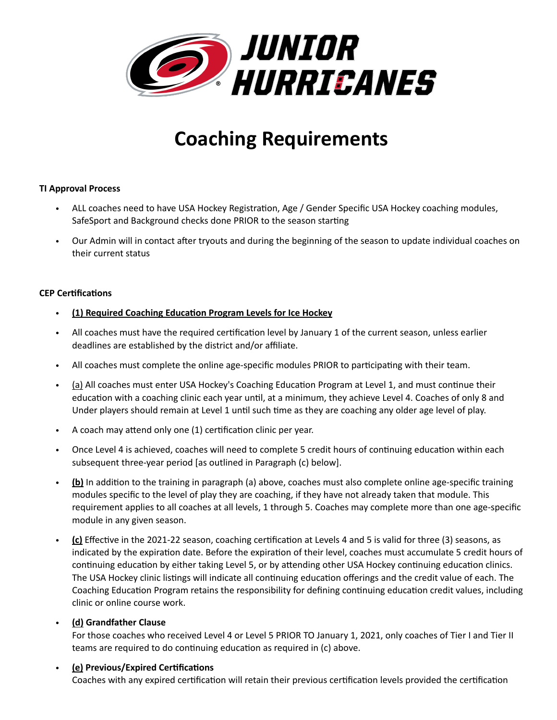

# **Coaching Requirements**

# **TI Approval Process**

- ALL coaches need to have USA Hockey Registration, Age / Gender Specific USA Hockey coaching modules, SafeSport and Background checks done PRIOR to the season starting
- Our Admin will in contact after tryouts and during the beginning of the season to update individual coaches on their current status

## **CEP Certifications**

- **(1) Required Coaching Education Program Levels for Ice Hockey**
- All coaches must have the required certification level by January 1 of the current season, unless earlier deadlines are established by the district and/or affiliate.
- All coaches must complete the online age-specific modules PRIOR to participating with their team.
- (a) All coaches must enter USA Hockey's Coaching Education Program at Level 1, and must continue their education with a coaching clinic each year until, at a minimum, they achieve Level 4. Coaches of only 8 and Under players should remain at Level 1 until such time as they are coaching any older age level of play.
- A coach may attend only one (1) certification clinic per year.
- Once Level 4 is achieved, coaches will need to complete 5 credit hours of continuing education within each subsequent three-year period [as outlined in Paragraph (c) below].
- **(b)** In addition to the training in paragraph (a) above, coaches must also complete online age-specific training modules specific to the level of play they are coaching, if they have not already taken that module. This requirement applies to all coaches at all levels, 1 through 5. Coaches may complete more than one age-specific module in any given season.
- **(c)** Effective in the 2021-22 season, coaching certification at Levels 4 and 5 is valid for three (3) seasons, as indicated by the expiration date. Before the expiration of their level, coaches must accumulate 5 credit hours of continuing education by either taking Level 5, or by attending other USA Hockey continuing education clinics. The USA Hockey clinic listings will indicate all continuing education offerings and the credit value of each. The Coaching Education Program retains the responsibility for defining continuing education credit values, including clinic or online course work.

# • **(d) Grandfather Clause**

For those coaches who received Level 4 or Level 5 PRIOR TO January 1, 2021, only coaches of Tier I and Tier II teams are required to do continuing education as required in (c) above.

# • **(e) Previous/Expired Certifications**

Coaches with any expired certification will retain their previous certification levels provided the certification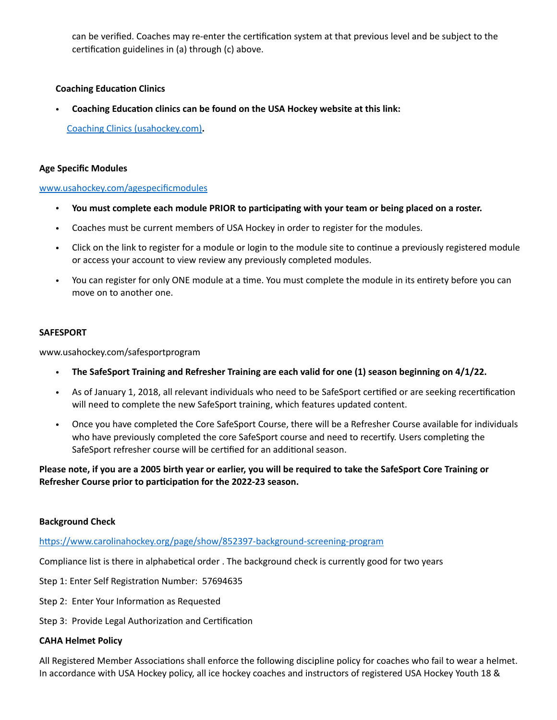can be verified. Coaches may re-enter the certification system at that previous level and be subject to the certification guidelines in (a) through (c) above.

## **Coaching Education Clinics**

• **Coaching Education clinics can be found on the USA Hockey website at this link:**

[Coaching Clinics \(usahockey.com\)](https://www.usahockey.com/coachingclinics)**.** 

## **Age Specific Modules**

### [www.usahockey.com/agespecificmodules](http://www.usahockey.com/agespecificmodules)

- **You must complete each module PRIOR to participating with your team or being placed on a roster.**
- Coaches must be current members of USA Hockey in order to register for the modules.
- Click on the link to register for a module or login to the module site to continue a previously registered module or access your account to view review any previously completed modules.
- You can register for only ONE module at a time. You must complete the module in its entirety before you can move on to another one.

### **SAFESPORT**

www.usahockey.com/safesportprogram

- **The SafeSport Training and Refresher Training are each valid for one (1) season beginning on 4/1/22.**
- As of January 1, 2018, all relevant individuals who need to be SafeSport certified or are seeking recertification will need to complete the new SafeSport training, which features updated content.
- Once you have completed the Core SafeSport Course, there will be a Refresher Course available for individuals who have previously completed the core SafeSport course and need to recertify. Users completing the SafeSport refresher course will be certified for an additional season.

**Please note, if you are a 2005 birth year or earlier, you will be required to take the SafeSport Core Training or Refresher Course prior to participation for the 2022-23 season.** 

### **Background Check**

<https://www.carolinahockey.org/page/show/852397-background-screening-program>

Compliance list is there in alphabetical order . The background check is currently good for two years

- Step 1: Enter Self Registration Number: 57694635
- Step 2: Enter Your Information as Requested
- Step 3: Provide Legal Authorization and Certification

### **CAHA Helmet Policy**

All Registered Member Associations shall enforce the following discipline policy for coaches who fail to wear a helmet. In accordance with USA Hockey policy, all ice hockey coaches and instructors of registered USA Hockey Youth 18 &